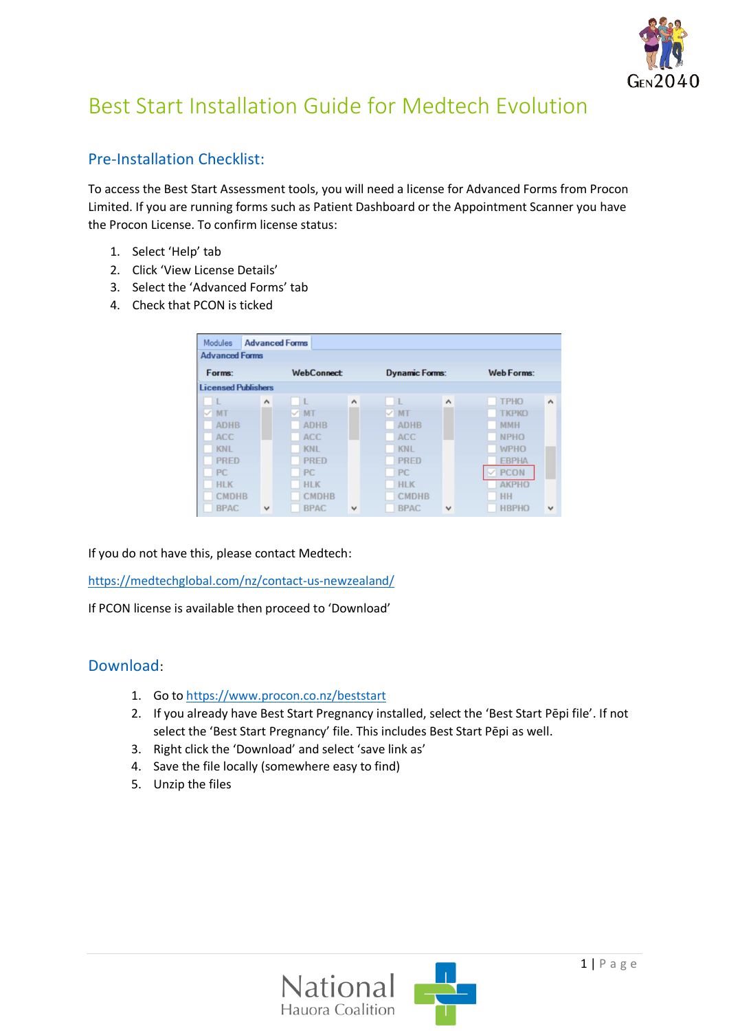

# Best Start Installation Guide for Medtech Evolution

# Pre-Installation Checklist:

To access the Best Start Assessment tools, you will need a license for Advanced Forms from Procon Limited. If you are running forms such as Patient Dashboard or the Appointment Scanner you have the Procon License. To confirm license status:

- 1. Select 'Help' tab
- 2. Click 'View License Details'
- 3. Select the 'Advanced Forms' tab
- 4. Check that PCON is ticked

| <b>Modules</b>             |                     | <b>Advanced Forms</b> |                             |                       |                     |                   |                     |
|----------------------------|---------------------|-----------------------|-----------------------------|-----------------------|---------------------|-------------------|---------------------|
| <b>Advanced Forms</b>      |                     |                       |                             |                       |                     |                   |                     |
| Forms:                     |                     |                       | <b>WebConnect</b>           | <b>Dynamic Forms:</b> |                     | <b>Web Forms:</b> |                     |
| <b>Licensed Publishers</b> |                     |                       |                             |                       |                     |                   |                     |
| $\bullet$                  | $\hat{\phantom{a}}$ | $\mathbf{L}$          | $\hat{\phantom{a}}$         | $\mathbb{L}$          | $\hat{\phantom{a}}$ | <b>TPHO</b>       | $\hat{\phantom{a}}$ |
| $\vee$ MT                  |                     | $\vee$ MT             |                             | $\vee$ MT             |                     | <b>TKPKO</b>      |                     |
| <b>ADHB</b>                |                     |                       | <b>ADHB</b>                 | <b>ADHB</b>           |                     | <b>MMH</b>        |                     |
| <b>ACC</b>                 |                     |                       | ACC                         | ACC                   |                     | <b>NPHO</b>       |                     |
| <b>KNL</b>                 |                     |                       | <b>KNL</b>                  | <b>KNL</b>            |                     | <b>WPHO</b>       |                     |
| <b>PRED</b>                |                     |                       | PRED                        | <b>PRED</b>           |                     | <b>EBPHA</b>      |                     |
| PC.                        |                     | PC.                   |                             | PC.                   |                     | <b>PCON</b>       |                     |
| <b>HLK</b>                 |                     |                       | <b>HLK</b>                  | <b>HLK</b>            |                     | <b>AKPHO</b>      |                     |
| <b>CMDHB</b>               |                     |                       | <b>CMDHB</b>                | <b>CMDHB</b>          |                     | HH                |                     |
| <b>BPAC</b>                | $\checkmark$        |                       | <b>BPAC</b><br>$\checkmark$ | <b>BPAC</b>           | $\checkmark$        | <b>HBPHO</b>      | $\checkmark$        |

If you do not have this, please contact Medtech:

<https://medtechglobal.com/nz/contact-us-newzealand/>

If PCON license is available then proceed to 'Download'

#### Download:

- 1. Go to<https://www.procon.co.nz/beststart>
- 2. If you already have Best Start Pregnancy installed, select the 'Best Start Pēpi file'. If not select the 'Best Start Pregnancy' file. This includes Best Start Pēpi as well.
- 3. Right click the 'Download' and select 'save link as'
- 4. Save the file locally (somewhere easy to find)
- 5. Unzip the files

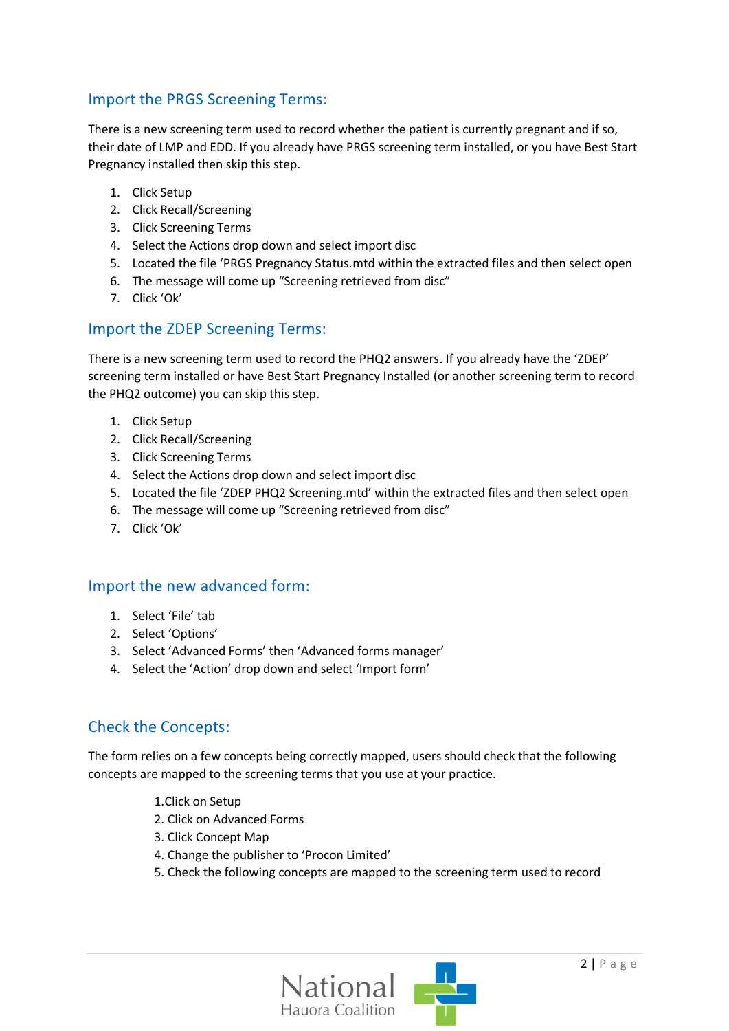## Import the PRGS Screening Terms:

There is a new screening term used to record whether the patient is currently pregnant and if so, their date of LMP and EDD. If you already have PRGS screening term installed, or you have Best Start Pregnancy installed then skip this step.

- 1. Click Setup
- 2. Click Recall/Screening
- 3. Click Screening Terms
- 4. Select the Actions drop down and select import disc
- 5. Located the file 'PRGS Pregnancy Status.mtd within the extracted files and then select open
- 6. The message will come up "Screening retrieved from disc"
- 7. Click 'Ok'

#### Import the ZDEP Screening Terms:

There is a new screening term used to record the PHQ2 answers. If you already have the 'ZDEP' screening term installed or have Best Start Pregnancy Installed (or another screening term to record the PHQ2 outcome) you can skip this step.

- 1. Click Setup
- 2. Click Recall/Screening
- 3. Click Screening Terms
- 4. Select the Actions drop down and select import disc
- 5. Located the file 'ZDEP PHQ2 Screening.mtd' within the extracted files and then select open
- 6. The message will come up "Screening retrieved from disc"
- 7. Click 'Ok'

#### Import the new advanced form:

- 1. Select 'File' tab
- 2. Select 'Options'
- 3. Select 'Advanced Forms' then 'Advanced forms manager'
- 4. Select the 'Action' drop down and select 'Import form'

## Check the Concepts:

The form relies on a few concepts being correctly mapped, users should check that the following concepts are mapped to the screening terms that you use at your practice.

- 1.Click on Setup
- 2. Click on Advanced Forms
- 3. Click Concept Map
- 4. Change the publisher to 'Procon Limited'
- 5. Check the following concepts are mapped to the screening term used to record